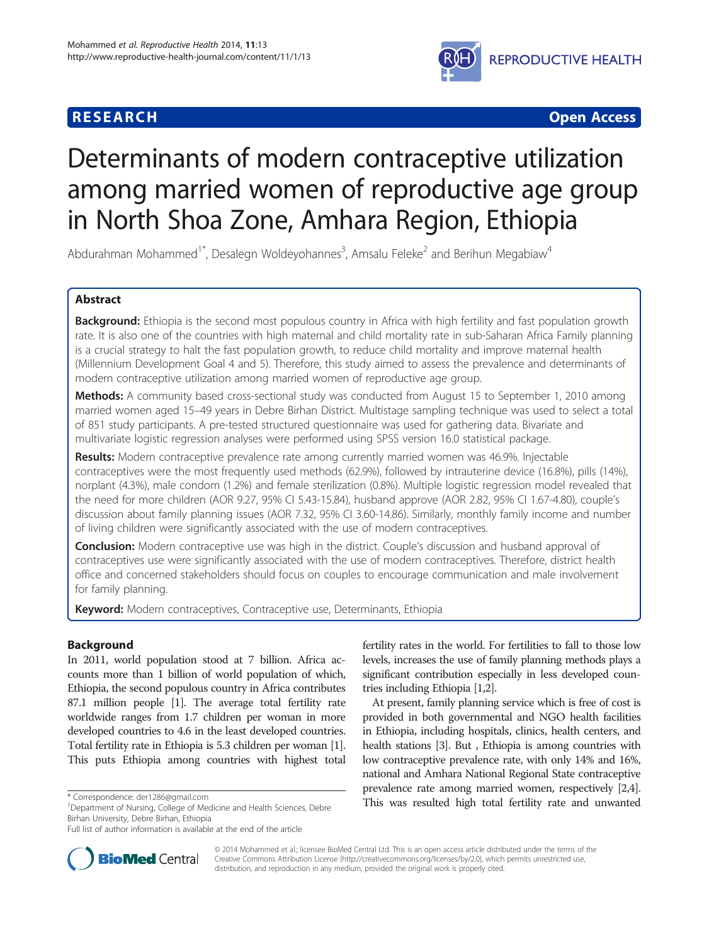

**RESEARCH CHEAR CHEAR CHEAR CHEAR CHEAR CHEAR CHEAR CHEAR CHEAR CHEAR CHEAR CHEAR CHEAR CHEAR CHEAR CHEAR CHEAR** 

# Determinants of modern contraceptive utilization among married women of reproductive age group in North Shoa Zone, Amhara Region, Ethiopia

Abdurahman Mohammed<sup>1\*</sup>, Desalegn Woldeyohannes<sup>3</sup>, Amsalu Feleke<sup>2</sup> and Berihun Megabiaw<sup>4</sup>

# Abstract

Background: Ethiopia is the second most populous country in Africa with high fertility and fast population growth rate. It is also one of the countries with high maternal and child mortality rate in sub-Saharan Africa Family planning is a crucial strategy to halt the fast population growth, to reduce child mortality and improve maternal health (Millennium Development Goal 4 and 5). Therefore, this study aimed to assess the prevalence and determinants of modern contraceptive utilization among married women of reproductive age group.

**Methods:** A community based cross-sectional study was conducted from August 15 to September 1, 2010 among married women aged 15–49 years in Debre Birhan District. Multistage sampling technique was used to select a total of 851 study participants. A pre-tested structured questionnaire was used for gathering data. Bivariate and multivariate logistic regression analyses were performed using SPSS version 16.0 statistical package.

Results: Modern contraceptive prevalence rate among currently married women was 46.9%. Injectable contraceptives were the most frequently used methods (62.9%), followed by intrauterine device (16.8%), pills (14%), norplant (4.3%), male condom (1.2%) and female sterilization (0.8%). Multiple logistic regression model revealed that the need for more children (AOR 9.27, 95% CI 5.43-15.84), husband approve (AOR 2.82, 95% CI 1.67-4.80), couple's discussion about family planning issues (AOR 7.32, 95% CI 3.60-14.86). Similarly, monthly family income and number of living children were significantly associated with the use of modern contraceptives.

**Conclusion:** Modern contraceptive use was high in the district. Couple's discussion and husband approval of contraceptives use were significantly associated with the use of modern contraceptives. Therefore, district health office and concerned stakeholders should focus on couples to encourage communication and male involvement for family planning.

Keyword: Modern contraceptives, Contraceptive use, Determinants, Ethiopia

# **Background**

In 2011, world population stood at 7 billion. Africa accounts more than 1 billion of world population of which, Ethiopia, the second populous country in Africa contributes 87.1 million people [[1](#page-6-0)]. The average total fertility rate worldwide ranges from 1.7 children per woman in more developed countries to 4.6 in the least developed countries. Total fertility rate in Ethiopia is 5.3 children per woman [[1](#page-6-0)]. This puts Ethiopia among countries with highest total



At present, family planning service which is free of cost is provided in both governmental and NGO health facilities in Ethiopia, including hospitals, clinics, health centers, and health stations [\[3\]](#page-6-0). But , Ethiopia is among countries with low contraceptive prevalence rate, with only 14% and 16%, national and Amhara National Regional State contraceptive prevalence rate among married women, respectively [\[2,4](#page-6-0)]. \* Correspondence: [der1286@gmail.com](mailto:der1286@gmail.com) **1996**<br><sup>1</sup>Department of Nursing College of Medicine and Health Sciences Debre **1996** This was resulted high total fertility rate and unwanted



© 2014 Mohammed et al.; licensee BioMed Central Ltd. This is an open access article distributed under the terms of the Creative Commons Attribution License (<http://creativecommons.org/licenses/by/2.0>), which permits unrestricted use, distribution, and reproduction in any medium, provided the original work is properly cited.

<sup>&</sup>lt;sup>1</sup>Department of Nursing, College of Medicine and Health Sciences, Debre Birhan University, Debre Birhan, Ethiopia

Full list of author information is available at the end of the article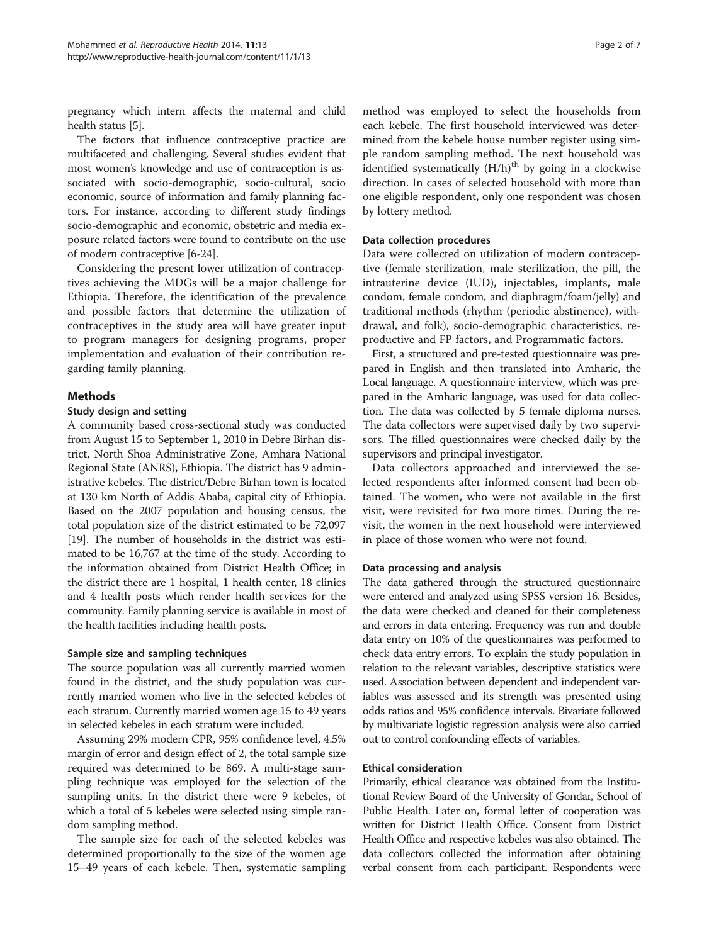pregnancy which intern affects the maternal and child health status [\[5](#page-6-0)].

The factors that influence contraceptive practice are multifaceted and challenging. Several studies evident that most women's knowledge and use of contraception is associated with socio-demographic, socio-cultural, socio economic, source of information and family planning factors. For instance, according to different study findings socio-demographic and economic, obstetric and media exposure related factors were found to contribute on the use of modern contraceptive [\[6](#page-6-0)-[24](#page-6-0)].

Considering the present lower utilization of contraceptives achieving the MDGs will be a major challenge for Ethiopia. Therefore, the identification of the prevalence and possible factors that determine the utilization of contraceptives in the study area will have greater input to program managers for designing programs, proper implementation and evaluation of their contribution regarding family planning.

# Methods

# Study design and setting

A community based cross-sectional study was conducted from August 15 to September 1, 2010 in Debre Birhan district, North Shoa Administrative Zone, Amhara National Regional State (ANRS), Ethiopia. The district has 9 administrative kebeles. The district/Debre Birhan town is located at 130 km North of Addis Ababa, capital city of Ethiopia. Based on the 2007 population and housing census, the total population size of the district estimated to be 72,097 [[19](#page-6-0)]. The number of households in the district was estimated to be 16,767 at the time of the study. According to the information obtained from District Health Office; in the district there are 1 hospital, 1 health center, 18 clinics and 4 health posts which render health services for the community. Family planning service is available in most of the health facilities including health posts.

#### Sample size and sampling techniques

The source population was all currently married women found in the district, and the study population was currently married women who live in the selected kebeles of each stratum. Currently married women age 15 to 49 years in selected kebeles in each stratum were included.

Assuming 29% modern CPR, 95% confidence level, 4.5% margin of error and design effect of 2, the total sample size required was determined to be 869. A multi-stage sampling technique was employed for the selection of the sampling units. In the district there were 9 kebeles, of which a total of 5 kebeles were selected using simple random sampling method.

The sample size for each of the selected kebeles was determined proportionally to the size of the women age 15–49 years of each kebele. Then, systematic sampling method was employed to select the households from each kebele. The first household interviewed was determined from the kebele house number register using simple random sampling method. The next household was identified systematically  $(H/h)$ <sup>th</sup> by going in a clockwise direction. In cases of selected household with more than one eligible respondent, only one respondent was chosen by lottery method.

# Data collection procedures

Data were collected on utilization of modern contraceptive (female sterilization, male sterilization, the pill, the intrauterine device (IUD), injectables, implants, male condom, female condom, and diaphragm/foam/jelly) and traditional methods (rhythm (periodic abstinence), withdrawal, and folk), socio-demographic characteristics, reproductive and FP factors, and Programmatic factors.

First, a structured and pre-tested questionnaire was prepared in English and then translated into Amharic, the Local language. A questionnaire interview, which was prepared in the Amharic language, was used for data collection. The data was collected by 5 female diploma nurses. The data collectors were supervised daily by two supervisors. The filled questionnaires were checked daily by the supervisors and principal investigator.

Data collectors approached and interviewed the selected respondents after informed consent had been obtained. The women, who were not available in the first visit, were revisited for two more times. During the revisit, the women in the next household were interviewed in place of those women who were not found.

# Data processing and analysis

The data gathered through the structured questionnaire were entered and analyzed using SPSS version 16. Besides, the data were checked and cleaned for their completeness and errors in data entering. Frequency was run and double data entry on 10% of the questionnaires was performed to check data entry errors. To explain the study population in relation to the relevant variables, descriptive statistics were used. Association between dependent and independent variables was assessed and its strength was presented using odds ratios and 95% confidence intervals. Bivariate followed by multivariate logistic regression analysis were also carried out to control confounding effects of variables.

## Ethical consideration

Primarily, ethical clearance was obtained from the Institutional Review Board of the University of Gondar, School of Public Health. Later on, formal letter of cooperation was written for District Health Office. Consent from District Health Office and respective kebeles was also obtained. The data collectors collected the information after obtaining verbal consent from each participant. Respondents were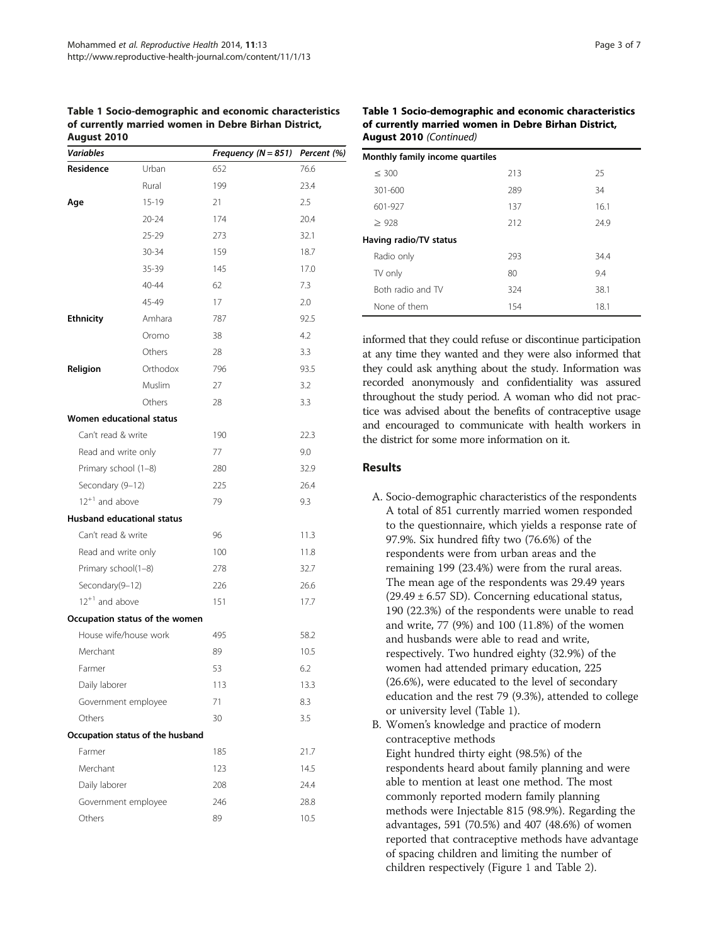Table 1 Socio-demographic and economic characteristics of currently married women in Debre Birhan District, August 2010

| <b>Variables</b>                  |                                  | Frequency ( $N = 851$ ) | Percent (%) |
|-----------------------------------|----------------------------------|-------------------------|-------------|
| Residence                         | Urban                            | 652                     | 76.6        |
|                                   | Rural                            | 199                     | 23.4        |
| Age                               | 15-19                            | 21                      | 2.5         |
|                                   | 20-24                            | 174                     | 20.4        |
|                                   | 25-29                            | 273                     | 32.1        |
|                                   | 30-34                            | 159                     | 18.7        |
|                                   | 35-39                            | 145                     | 17.0        |
|                                   | 40-44                            | 62                      | 7.3         |
|                                   | 45-49                            | 17                      | 2.0         |
| <b>Ethnicity</b>                  | Amhara                           | 787                     | 92.5        |
|                                   | Oromo                            | 38                      | 4.2         |
|                                   | Others                           | 28                      | 3.3         |
| Religion                          | Orthodox                         | 796                     | 93.5        |
|                                   | Muslim                           | 27                      | 3.2         |
|                                   | Others                           | 28                      | 3.3         |
| Women educational status          |                                  |                         |             |
| Can't read & write                |                                  | 190                     | 22.3        |
| Read and write only               |                                  | 77                      | 9.0         |
| Primary school (1-8)              |                                  | 280                     | 32.9        |
| Secondary (9-12)                  |                                  | 225                     | 26.4        |
| $12^{+1}$ and above               |                                  | 79                      | 9.3         |
| <b>Husband educational status</b> |                                  |                         |             |
| Can't read & write                |                                  | 96                      | 11.3        |
| Read and write only               |                                  | 100                     | 11.8        |
| Primary school(1-8)               |                                  | 278                     | 32.7        |
| Secondary(9-12)                   |                                  | 226                     | 26.6        |
| $12^{+1}$ and above               |                                  | 151                     | 17.7        |
|                                   | Occupation status of the women   |                         |             |
| House wife/house work             |                                  | 495                     | 58.2        |
| Merchant                          |                                  | 89                      | 10.5        |
| Farmer                            |                                  | 53                      | 6.2         |
| Daily laborer                     |                                  | 113                     | 13.3        |
| Government employee               |                                  | 71                      | 8.3         |
| Others                            |                                  | 30                      | 3.5         |
|                                   | Occupation status of the husband |                         |             |
| Farmer                            |                                  | 185                     | 21.7        |
| Merchant                          |                                  | 123                     | 14.5        |
| Daily laborer                     |                                  | 208                     | 24.4        |
| Government employee               |                                  | 246                     | 28.8        |
| Others                            |                                  | 89                      | 10.5        |

Table 1 Socio-demographic and economic characteristics of currently married women in Debre Birhan District, August 2010 (Continued)

| Monthly family income quartiles |     |      |  |  |  |
|---------------------------------|-----|------|--|--|--|
| $\leq 300$                      | 213 | 25   |  |  |  |
| $301 - 600$                     | 289 | 34   |  |  |  |
| 601-927                         | 137 | 16.1 |  |  |  |
| >928                            | 212 | 24.9 |  |  |  |
| Having radio/TV status          |     |      |  |  |  |
| Radio only                      | 293 | 34.4 |  |  |  |
| TV only                         | 80  | 9.4  |  |  |  |
| Both radio and TV               | 324 | 38.1 |  |  |  |
| None of them                    | 154 | 18.1 |  |  |  |

informed that they could refuse or discontinue participation at any time they wanted and they were also informed that they could ask anything about the study. Information was recorded anonymously and confidentiality was assured throughout the study period. A woman who did not practice was advised about the benefits of contraceptive usage and encouraged to communicate with health workers in the district for some more information on it.

# Results

A. Socio-demographic characteristics of the respondents A total of 851 currently married women responded to the questionnaire, which yields a response rate of 97.9%. Six hundred fifty two (76.6%) of the respondents were from urban areas and the remaining 199 (23.4%) were from the rural areas. The mean age of the respondents was 29.49 years  $(29.49 \pm 6.57$  SD). Concerning educational status, 190 (22.3%) of the respondents were unable to read and write, 77 (9%) and 100 (11.8%) of the women and husbands were able to read and write, respectively. Two hundred eighty (32.9%) of the women had attended primary education, 225 (26.6%), were educated to the level of secondary education and the rest 79 (9.3%), attended to college or university level (Table 1). B. Women's knowledge and practice of modern contraceptive methods Eight hundred thirty eight (98.5%) of the respondents heard about family planning and were able to mention at least one method. The most commonly reported modern family planning methods were Injectable 815 (98.9%). Regarding the

advantages, 591 (70.5%) and 407 (48.6%) of women reported that contraceptive methods have advantage of spacing children and limiting the number of children respectively (Figure [1](#page-3-0) and Table [2](#page-4-0)).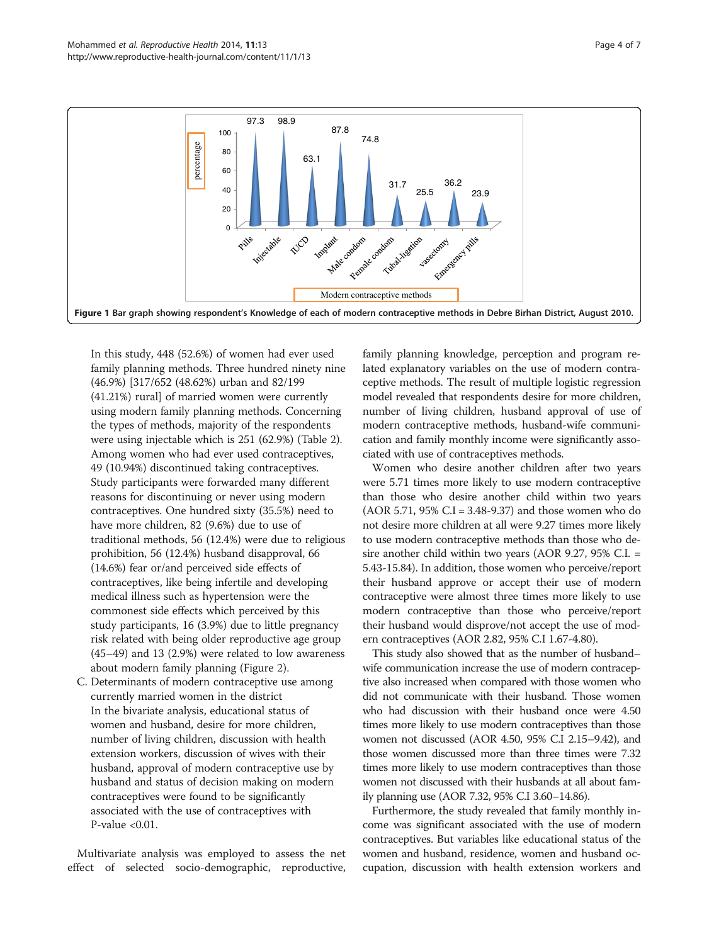<span id="page-3-0"></span>

In this study, 448 (52.6%) of women had ever used family planning methods. Three hundred ninety nine (46.9%) [317/652 (48.62%) urban and 82/199 (41.21%) rural] of married women were currently using modern family planning methods. Concerning the types of methods, majority of the respondents were using injectable which is 251 (62.9%) (Table [2](#page-4-0)). Among women who had ever used contraceptives, 49 (10.94%) discontinued taking contraceptives. Study participants were forwarded many different reasons for discontinuing or never using modern contraceptives. One hundred sixty (35.5%) need to have more children, 82 (9.6%) due to use of traditional methods, 56 (12.4%) were due to religious prohibition, 56 (12.4%) husband disapproval, 66 (14.6%) fear or/and perceived side effects of contraceptives, like being infertile and developing medical illness such as hypertension were the commonest side effects which perceived by this study participants, 16 (3.9%) due to little pregnancy risk related with being older reproductive age group (45–49) and 13 (2.9%) were related to low awareness about modern family planning (Figure [2\)](#page-4-0).

C. Determinants of modern contraceptive use among currently married women in the district In the bivariate analysis, educational status of women and husband, desire for more children, number of living children, discussion with health extension workers, discussion of wives with their husband, approval of modern contraceptive use by husband and status of decision making on modern contraceptives were found to be significantly associated with the use of contraceptives with P-value  $< 0.01$ .

Multivariate analysis was employed to assess the net effect of selected socio-demographic, reproductive, family planning knowledge, perception and program related explanatory variables on the use of modern contraceptive methods. The result of multiple logistic regression model revealed that respondents desire for more children, number of living children, husband approval of use of modern contraceptive methods, husband-wife communication and family monthly income were significantly associated with use of contraceptives methods.

Women who desire another children after two years were 5.71 times more likely to use modern contraceptive than those who desire another child within two years (AOR 5.71, 95% C.I = 3.48-9.37) and those women who do not desire more children at all were 9.27 times more likely to use modern contraceptive methods than those who desire another child within two years (AOR 9.27, 95% C.I. = 5.43-15.84). In addition, those women who perceive/report their husband approve or accept their use of modern contraceptive were almost three times more likely to use modern contraceptive than those who perceive/report their husband would disprove/not accept the use of modern contraceptives (AOR 2.82, 95% C.I 1.67-4.80).

This study also showed that as the number of husband– wife communication increase the use of modern contraceptive also increased when compared with those women who did not communicate with their husband. Those women who had discussion with their husband once were 4.50 times more likely to use modern contraceptives than those women not discussed (AOR 4.50, 95% C.I 2.15–9.42), and those women discussed more than three times were 7.32 times more likely to use modern contraceptives than those women not discussed with their husbands at all about family planning use (AOR 7.32, 95% C.I 3.60–14.86).

Furthermore, the study revealed that family monthly income was significant associated with the use of modern contraceptives. But variables like educational status of the women and husband, residence, women and husband occupation, discussion with health extension workers and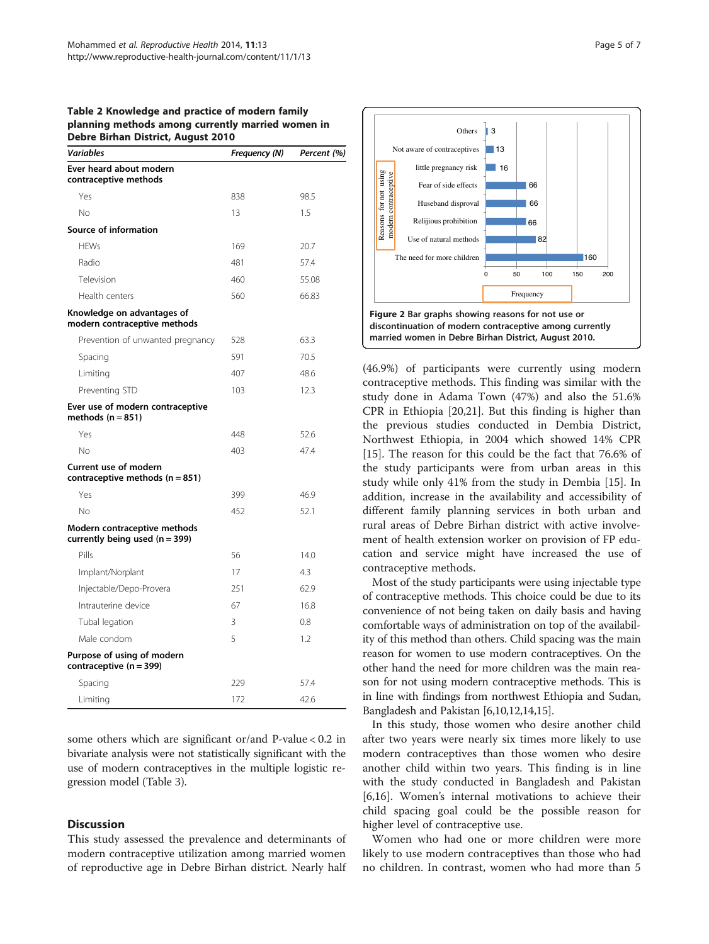<span id="page-4-0"></span>

| Table 2 Knowledge and practice of modern family   |
|---------------------------------------------------|
| planning methods among currently married women in |
| <b>Debre Birhan District, August 2010</b>         |

| <b>Variables</b>                                                  | Frequency (N) | Percent (%) |
|-------------------------------------------------------------------|---------------|-------------|
| Ever heard about modern<br>contraceptive methods                  |               |             |
| Yes                                                               | 838           | 98.5        |
| No                                                                | 13            | 1.5         |
| Source of information                                             |               |             |
| <b>HFWs</b>                                                       | 169           | 20.7        |
| Radio                                                             | 481           | 57.4        |
| Television                                                        | 460           | 55.08       |
| Health centers                                                    | 560           | 66.83       |
| Knowledge on advantages of<br>modern contraceptive methods        |               |             |
| Prevention of unwanted pregnancy                                  | 528           | 63.3        |
| Spacing                                                           | 591           | 70.5        |
| Limiting                                                          | 407           | 48.6        |
| Preventing STD                                                    | 103           | 12.3        |
| Ever use of modern contraceptive<br>methods $(n = 851)$           |               |             |
| Yes                                                               | 448           | 52.6        |
| <b>No</b>                                                         | 403           | 47.4        |
| <b>Current use of modern</b><br>contraceptive methods $(n = 851)$ |               |             |
| Yes                                                               | 399           | 46.9        |
| <b>No</b>                                                         | 452           | 52.1        |
| Modern contraceptive methods<br>currently being used $(n = 399)$  |               |             |
| Pills                                                             | 56            | 14.0        |
| Implant/Norplant                                                  | 17            | 4.3         |
| Injectable/Depo-Provera                                           | 251           | 62.9        |
| Intrauterine device                                               | 67            | 16.8        |
| Tubal legation                                                    | 3             | 0.8         |
| Male condom                                                       | 5             | 1.2         |
| Purpose of using of modern<br>contraceptive $(n = 399)$           |               |             |
| Spacing                                                           | 229           | 57.4        |
| Limiting                                                          | 172           | 42.6        |

some others which are significant or/and P-value < 0.2 in bivariate analysis were not statistically significant with the use of modern contraceptives in the multiple logistic regression model (Table [3\)](#page-5-0).

# **Discussion**

This study assessed the prevalence and determinants of modern contraceptive utilization among married women of reproductive age in Debre Birhan district. Nearly half



(46.9%) of participants were currently using modern contraceptive methods. This finding was similar with the study done in Adama Town (47%) and also the 51.6% CPR in Ethiopia [[20](#page-6-0),[21](#page-6-0)]. But this finding is higher than the previous studies conducted in Dembia District, Northwest Ethiopia, in 2004 which showed 14% CPR [[15\]](#page-6-0). The reason for this could be the fact that 76.6% of the study participants were from urban areas in this study while only 41% from the study in Dembia [\[15](#page-6-0)]. In addition, increase in the availability and accessibility of different family planning services in both urban and rural areas of Debre Birhan district with active involvement of health extension worker on provision of FP education and service might have increased the use of contraceptive methods.

Most of the study participants were using injectable type of contraceptive methods. This choice could be due to its convenience of not being taken on daily basis and having comfortable ways of administration on top of the availability of this method than others. Child spacing was the main reason for women to use modern contraceptives. On the other hand the need for more children was the main reason for not using modern contraceptive methods. This is in line with findings from northwest Ethiopia and Sudan, Bangladesh and Pakistan [\[6,10,12,14,15](#page-6-0)].

In this study, those women who desire another child after two years were nearly six times more likely to use modern contraceptives than those women who desire another child within two years. This finding is in line with the study conducted in Bangladesh and Pakistan [[6,16\]](#page-6-0). Women's internal motivations to achieve their child spacing goal could be the possible reason for higher level of contraceptive use.

Women who had one or more children were more likely to use modern contraceptives than those who had no children. In contrast, women who had more than 5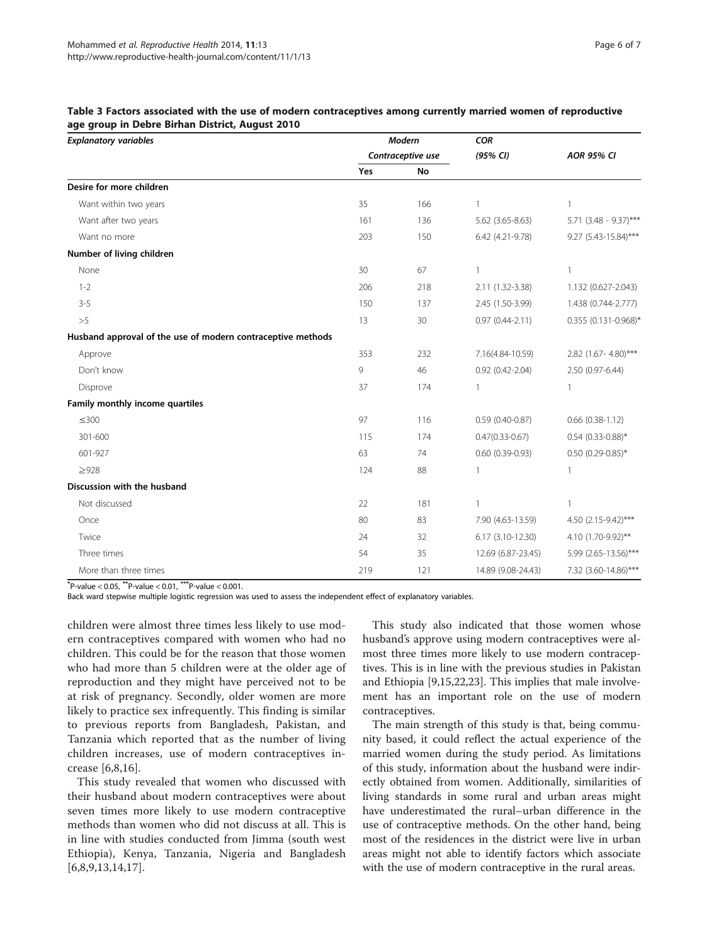| <b>Explanatory variables</b>                                | <b>Modern</b><br>Contraceptive use |           | <b>COR</b>          | <b>AOR 95% CI</b>       |
|-------------------------------------------------------------|------------------------------------|-----------|---------------------|-------------------------|
|                                                             |                                    |           | (95% CI)            |                         |
|                                                             | Yes                                | <b>No</b> |                     |                         |
| Desire for more children                                    |                                    |           |                     |                         |
| Want within two years                                       | 35                                 | 166       | $\mathbf{1}$        | $\mathbf{1}$            |
| Want after two years                                        | 161                                | 136       | 5.62 (3.65-8.63)    | $5.71$ (3.48 - 9.37)*** |
| Want no more                                                | 203                                | 150       | 6.42 (4.21-9.78)    | 9.27 (5.43-15.84)***    |
| Number of living children                                   |                                    |           |                     |                         |
| None                                                        | 30                                 | 67        | 1                   | $\mathbf{1}$            |
| $1 - 2$                                                     | 206                                | 218       | 2.11 (1.32-3.38)    | 1.132 (0.627-2.043)     |
| $3 - 5$                                                     | 150                                | 137       | 2.45 (1.50-3.99)    | 1.438 (0.744-2.777)     |
| >5                                                          | 13                                 | 30        | $0.97(0.44 - 2.11)$ | 0.355 (0.131-0.968)*    |
| Husband approval of the use of modern contraceptive methods |                                    |           |                     |                         |
| Approve                                                     | 353                                | 232       | 7.16(4.84-10.59)    | 2.82 (1.67-4.80)***     |
| Don't know                                                  | 9                                  | 46        | $0.92(0.42 - 2.04)$ | 2.50 (0.97-6.44)        |
| Disprove                                                    | 37                                 | 174       | $\mathbf{1}$        | $\mathbf{1}$            |
| Family monthly income quartiles                             |                                    |           |                     |                         |
| $\leq$ 300                                                  | 97                                 | 116       | $0.59(0.40 - 0.87)$ | $0.66$ $(0.38-1.12)$    |
| 301-600                                                     | 115                                | 174       | $0.47(0.33 - 0.67)$ | $0.54$ (0.33-0.88)*     |
| 601-927                                                     | 63                                 | 74        | $0.60(0.39 - 0.93)$ | $0.50$ (0.29-0.85)*     |
| $\geq$ 928                                                  | 124                                | 88        | $\mathbf{1}$        | $\mathbf{1}$            |
| Discussion with the husband                                 |                                    |           |                     |                         |
| Not discussed                                               | 22                                 | 181       | $\mathbf{1}$        | $\mathbf{1}$            |
| Once                                                        | 80                                 | 83        | 7.90 (4.63-13.59)   | 4.50 (2.15-9.42)***     |
| Twice                                                       | 24                                 | 32        | 6.17 (3.10-12.30)   | 4.10 (1.70-9.92)**      |
| Three times                                                 | 54                                 | 35        | 12.69 (6.87-23.45)  | 5.99 (2.65-13.56)***    |
| More than three times                                       | 219                                | 121       | 14.89 (9.08-24.43)  | 7.32 (3.60-14.86)***    |

#### <span id="page-5-0"></span>Table 3 Factors associated with the use of modern contraceptives among currently married women of reproductive age group in Debre Birhan District, August 2010

\* P-value < 0.05, \*\*P-value < 0.01, \*\*\*P-value < 0.001.

Back ward stepwise multiple logistic regression was used to assess the independent effect of explanatory variables.

children were almost three times less likely to use modern contraceptives compared with women who had no children. This could be for the reason that those women who had more than 5 children were at the older age of reproduction and they might have perceived not to be at risk of pregnancy. Secondly, older women are more likely to practice sex infrequently. This finding is similar to previous reports from Bangladesh, Pakistan, and Tanzania which reported that as the number of living children increases, use of modern contraceptives increase [\[6](#page-6-0),[8,16\]](#page-6-0).

This study revealed that women who discussed with their husband about modern contraceptives were about seven times more likely to use modern contraceptive methods than women who did not discuss at all. This is in line with studies conducted from Jimma (south west Ethiopia), Kenya, Tanzania, Nigeria and Bangladesh [[6,8,9](#page-6-0),[13,14,17](#page-6-0)].

This study also indicated that those women whose husband's approve using modern contraceptives were almost three times more likely to use modern contraceptives. This is in line with the previous studies in Pakistan and Ethiopia [[9](#page-6-0),[15](#page-6-0),[22](#page-6-0),[23](#page-6-0)]. This implies that male involvement has an important role on the use of modern contraceptives.

The main strength of this study is that, being community based, it could reflect the actual experience of the married women during the study period. As limitations of this study, information about the husband were indirectly obtained from women. Additionally, similarities of living standards in some rural and urban areas might have underestimated the rural–urban difference in the use of contraceptive methods. On the other hand, being most of the residences in the district were live in urban areas might not able to identify factors which associate with the use of modern contraceptive in the rural areas.